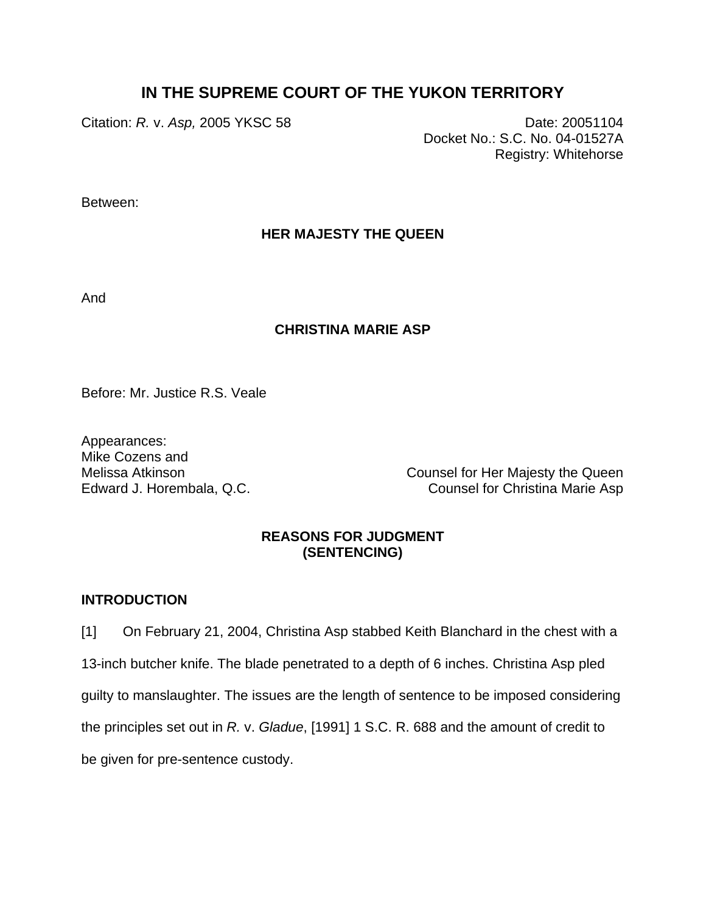# **IN THE SUPREME COURT OF THE YUKON TERRITORY**

Citation: *R. v. Asp,* 2005 YKSC 58 Date: 20051104

Docket No.: S.C. No. 04-01527A Registry: Whitehorse

Between:

## **HER MAJESTY THE QUEEN**

And

### **CHRISTINA MARIE ASP**

Before: Mr. Justice R.S. Veale

Appearances: Mike Cozens and

Melissa Atkinson Counsel for Her Majesty the Queen Edward J. Horembala, Q.C. Counsel for Christina Marie Asp

## **REASONS FOR JUDGMENT (SENTENCING)**

### **INTRODUCTION**

[1] On February 21, 2004, Christina Asp stabbed Keith Blanchard in the chest with a 13-inch butcher knife. The blade penetrated to a depth of 6 inches. Christina Asp pled guilty to manslaughter. The issues are the length of sentence to be imposed considering the principles set out in *R.* v. *Gladue*, [1991] 1 S.C. R. 688 and the amount of credit to be given for pre-sentence custody.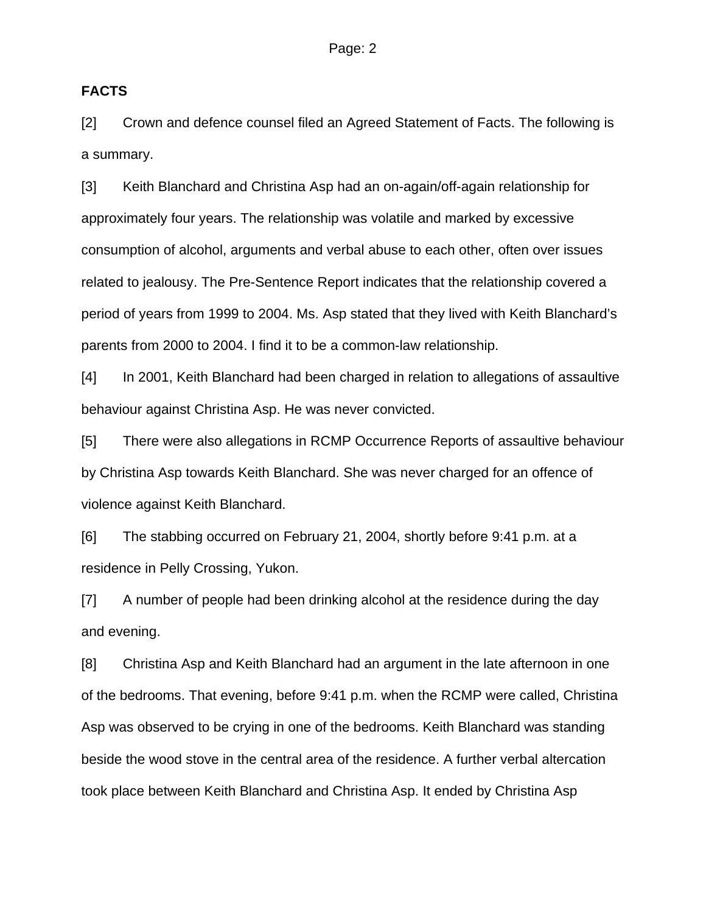### **FACTS**

[2] Crown and defence counsel filed an Agreed Statement of Facts. The following is a summary.

[3] Keith Blanchard and Christina Asp had an on-again/off-again relationship for approximately four years. The relationship was volatile and marked by excessive consumption of alcohol, arguments and verbal abuse to each other, often over issues related to jealousy. The Pre-Sentence Report indicates that the relationship covered a period of years from 1999 to 2004. Ms. Asp stated that they lived with Keith Blanchard's parents from 2000 to 2004. I find it to be a common-law relationship.

[4] In 2001, Keith Blanchard had been charged in relation to allegations of assaultive behaviour against Christina Asp. He was never convicted.

[5] There were also allegations in RCMP Occurrence Reports of assaultive behaviour by Christina Asp towards Keith Blanchard. She was never charged for an offence of violence against Keith Blanchard.

[6] The stabbing occurred on February 21, 2004, shortly before 9:41 p.m. at a residence in Pelly Crossing, Yukon.

[7] A number of people had been drinking alcohol at the residence during the day and evening.

[8] Christina Asp and Keith Blanchard had an argument in the late afternoon in one of the bedrooms. That evening, before 9:41 p.m. when the RCMP were called, Christina Asp was observed to be crying in one of the bedrooms. Keith Blanchard was standing beside the wood stove in the central area of the residence. A further verbal altercation took place between Keith Blanchard and Christina Asp. It ended by Christina Asp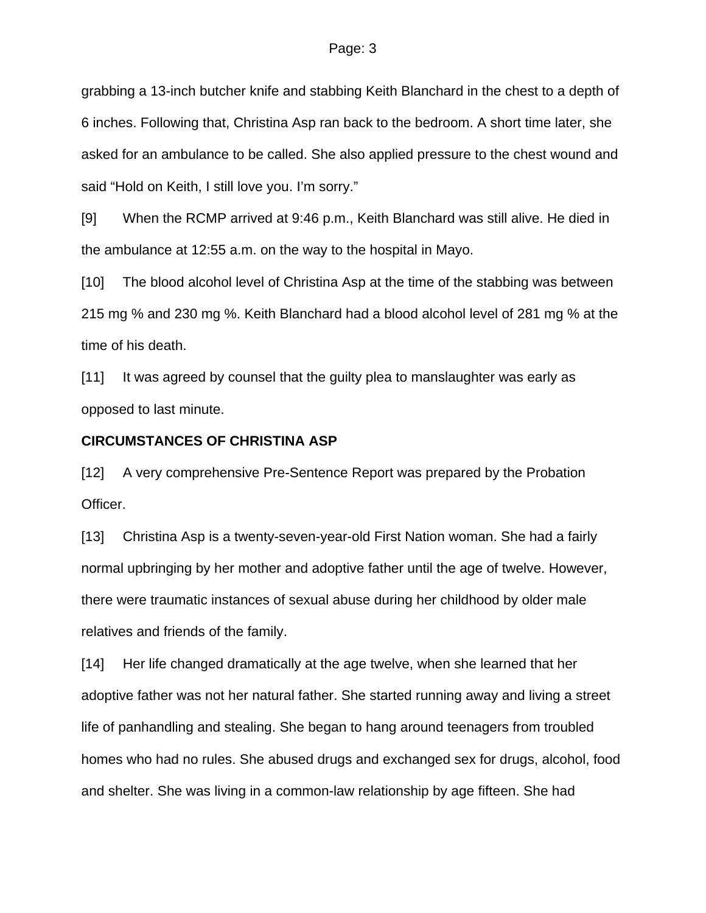grabbing a 13-inch butcher knife and stabbing Keith Blanchard in the chest to a depth of 6 inches. Following that, Christina Asp ran back to the bedroom. A short time later, she asked for an ambulance to be called. She also applied pressure to the chest wound and said "Hold on Keith, I still love you. I'm sorry."

[9] When the RCMP arrived at 9:46 p.m., Keith Blanchard was still alive. He died in the ambulance at 12:55 a.m. on the way to the hospital in Mayo.

[10] The blood alcohol level of Christina Asp at the time of the stabbing was between 215 mg % and 230 mg %. Keith Blanchard had a blood alcohol level of 281 mg % at the time of his death.

[11] It was agreed by counsel that the guilty plea to manslaughter was early as opposed to last minute.

### **CIRCUMSTANCES OF CHRISTINA ASP**

[12] A very comprehensive Pre-Sentence Report was prepared by the Probation Officer.

[13] Christina Asp is a twenty-seven-year-old First Nation woman. She had a fairly normal upbringing by her mother and adoptive father until the age of twelve. However, there were traumatic instances of sexual abuse during her childhood by older male relatives and friends of the family.

[14] Her life changed dramatically at the age twelve, when she learned that her adoptive father was not her natural father. She started running away and living a street life of panhandling and stealing. She began to hang around teenagers from troubled homes who had no rules. She abused drugs and exchanged sex for drugs, alcohol, food and shelter. She was living in a common-law relationship by age fifteen. She had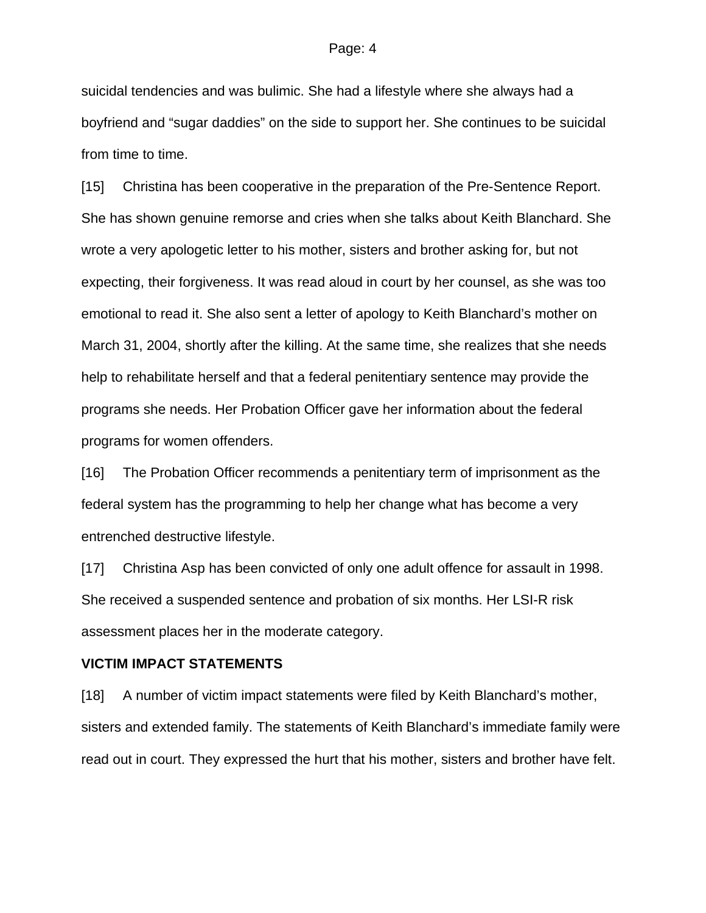suicidal tendencies and was bulimic. She had a lifestyle where she always had a boyfriend and "sugar daddies" on the side to support her. She continues to be suicidal from time to time.

[15] Christina has been cooperative in the preparation of the Pre-Sentence Report. She has shown genuine remorse and cries when she talks about Keith Blanchard. She wrote a very apologetic letter to his mother, sisters and brother asking for, but not expecting, their forgiveness. It was read aloud in court by her counsel, as she was too emotional to read it. She also sent a letter of apology to Keith Blanchard's mother on March 31, 2004, shortly after the killing. At the same time, she realizes that she needs help to rehabilitate herself and that a federal penitentiary sentence may provide the programs she needs. Her Probation Officer gave her information about the federal programs for women offenders.

[16] The Probation Officer recommends a penitentiary term of imprisonment as the federal system has the programming to help her change what has become a very entrenched destructive lifestyle.

[17] Christina Asp has been convicted of only one adult offence for assault in 1998. She received a suspended sentence and probation of six months. Her LSI-R risk assessment places her in the moderate category.

#### **VICTIM IMPACT STATEMENTS**

[18] A number of victim impact statements were filed by Keith Blanchard's mother, sisters and extended family. The statements of Keith Blanchard's immediate family were read out in court. They expressed the hurt that his mother, sisters and brother have felt.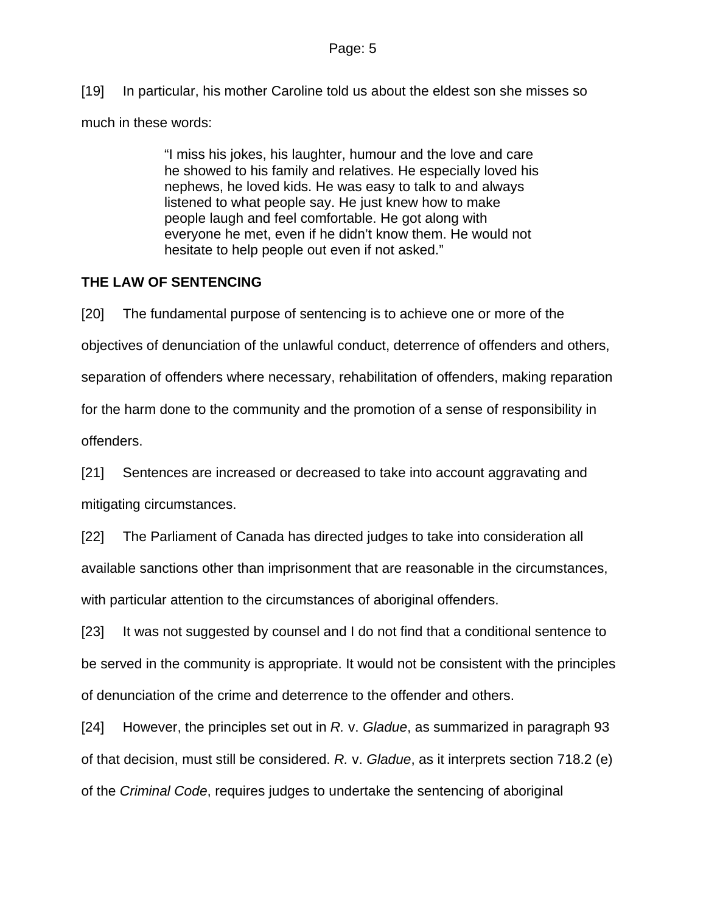[19] In particular, his mother Caroline told us about the eldest son she misses so

much in these words:

"I miss his jokes, his laughter, humour and the love and care he showed to his family and relatives. He especially loved his nephews, he loved kids. He was easy to talk to and always listened to what people say. He just knew how to make people laugh and feel comfortable. He got along with everyone he met, even if he didn't know them. He would not hesitate to help people out even if not asked."

## **THE LAW OF SENTENCING**

[20] The fundamental purpose of sentencing is to achieve one or more of the objectives of denunciation of the unlawful conduct, deterrence of offenders and others, separation of offenders where necessary, rehabilitation of offenders, making reparation for the harm done to the community and the promotion of a sense of responsibility in offenders.

[21] Sentences are increased or decreased to take into account aggravating and mitigating circumstances.

[22] The Parliament of Canada has directed judges to take into consideration all available sanctions other than imprisonment that are reasonable in the circumstances, with particular attention to the circumstances of aboriginal offenders.

[23] It was not suggested by counsel and I do not find that a conditional sentence to be served in the community is appropriate. It would not be consistent with the principles of denunciation of the crime and deterrence to the offender and others.

[24] However, the principles set out in *R.* v. *Gladue*, as summarized in paragraph 93 of that decision, must still be considered. *R.* v. *Gladue*, as it interprets section 718.2 (e) of the *Criminal Code*, requires judges to undertake the sentencing of aboriginal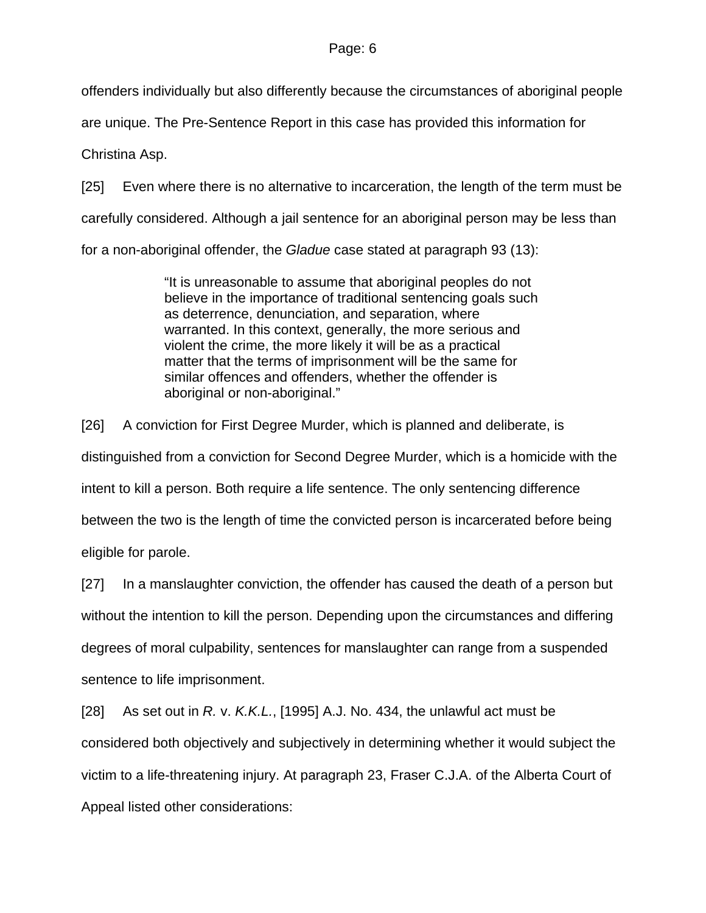offenders individually but also differently because the circumstances of aboriginal people

are unique. The Pre-Sentence Report in this case has provided this information for

Christina Asp.

[25] Even where there is no alternative to incarceration, the length of the term must be

carefully considered. Although a jail sentence for an aboriginal person may be less than

for a non-aboriginal offender, the *Gladue* case stated at paragraph 93 (13):

"It is unreasonable to assume that aboriginal peoples do not believe in the importance of traditional sentencing goals such as deterrence, denunciation, and separation, where warranted. In this context, generally, the more serious and violent the crime, the more likely it will be as a practical matter that the terms of imprisonment will be the same for similar offences and offenders, whether the offender is aboriginal or non-aboriginal."

[26] A conviction for First Degree Murder, which is planned and deliberate, is distinguished from a conviction for Second Degree Murder, which is a homicide with the intent to kill a person. Both require a life sentence. The only sentencing difference between the two is the length of time the convicted person is incarcerated before being eligible for parole.

[27] In a manslaughter conviction, the offender has caused the death of a person but without the intention to kill the person. Depending upon the circumstances and differing degrees of moral culpability, sentences for manslaughter can range from a suspended sentence to life imprisonment.

[28] As set out in *R.* v. *K.K.L.*, [1995] A.J. No. 434, the unlawful act must be considered both objectively and subjectively in determining whether it would subject the victim to a life-threatening injury. At paragraph 23, Fraser C.J.A. of the Alberta Court of Appeal listed other considerations: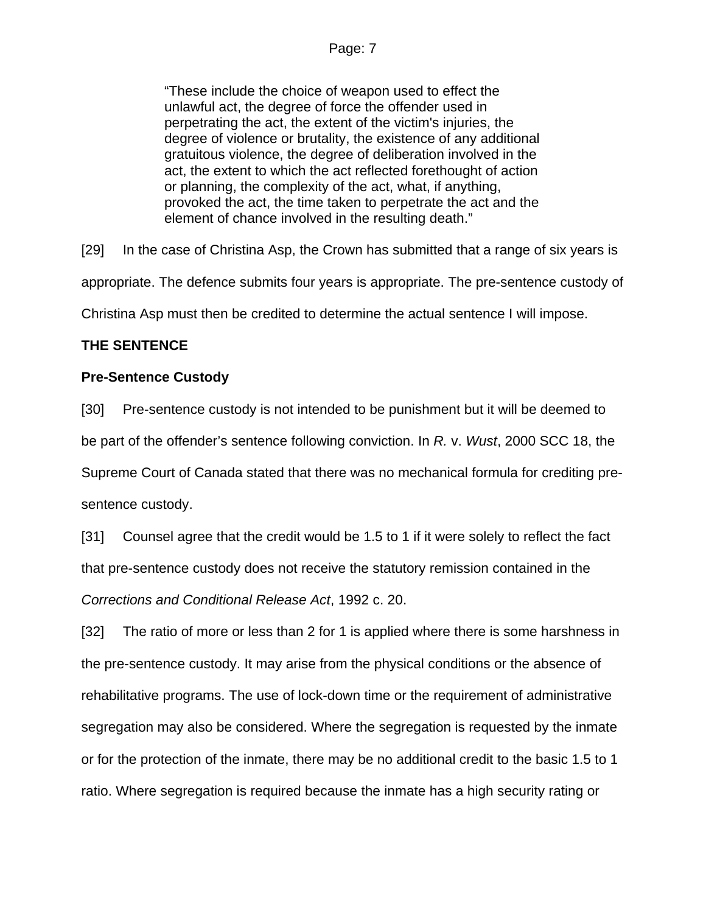"These include the choice of weapon used to effect the unlawful act, the degree of force the offender used in perpetrating the act, the extent of the victim's injuries, the degree of violence or brutality, the existence of any additional gratuitous violence, the degree of deliberation involved in the act, the extent to which the act reflected forethought of action or planning, the complexity of the act, what, if anything, provoked the act, the time taken to perpetrate the act and the element of chance involved in the resulting death."

[29] In the case of Christina Asp, the Crown has submitted that a range of six years is appropriate. The defence submits four years is appropriate. The pre-sentence custody of Christina Asp must then be credited to determine the actual sentence I will impose.

## **THE SENTENCE**

## **Pre-Sentence Custody**

[30] Pre-sentence custody is not intended to be punishment but it will be deemed to be part of the offender's sentence following conviction. In *R.* v. *Wust*, 2000 SCC 18, the Supreme Court of Canada stated that there was no mechanical formula for crediting presentence custody.

[31] Counsel agree that the credit would be 1.5 to 1 if it were solely to reflect the fact that pre-sentence custody does not receive the statutory remission contained in the *Corrections and Conditional Release Act*, 1992 c. 20.

[32] The ratio of more or less than 2 for 1 is applied where there is some harshness in the pre-sentence custody. It may arise from the physical conditions or the absence of rehabilitative programs. The use of lock-down time or the requirement of administrative segregation may also be considered. Where the segregation is requested by the inmate or for the protection of the inmate, there may be no additional credit to the basic 1.5 to 1 ratio. Where segregation is required because the inmate has a high security rating or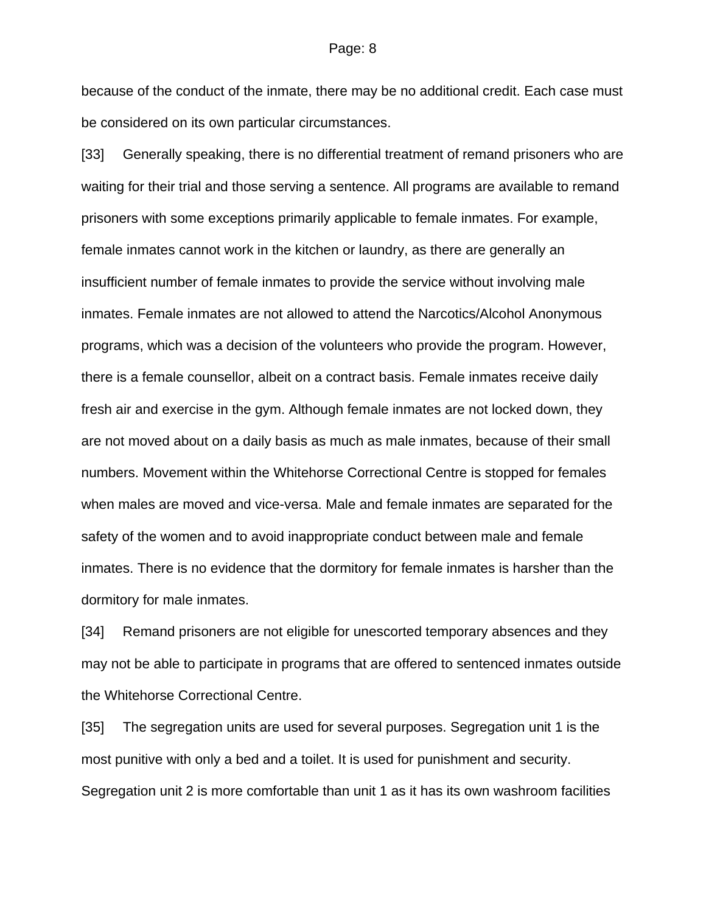because of the conduct of the inmate, there may be no additional credit. Each case must be considered on its own particular circumstances.

[33] Generally speaking, there is no differential treatment of remand prisoners who are waiting for their trial and those serving a sentence. All programs are available to remand prisoners with some exceptions primarily applicable to female inmates. For example, female inmates cannot work in the kitchen or laundry, as there are generally an insufficient number of female inmates to provide the service without involving male inmates. Female inmates are not allowed to attend the Narcotics/Alcohol Anonymous programs, which was a decision of the volunteers who provide the program. However, there is a female counsellor, albeit on a contract basis. Female inmates receive daily fresh air and exercise in the gym. Although female inmates are not locked down, they are not moved about on a daily basis as much as male inmates, because of their small numbers. Movement within the Whitehorse Correctional Centre is stopped for females when males are moved and vice-versa. Male and female inmates are separated for the safety of the women and to avoid inappropriate conduct between male and female inmates. There is no evidence that the dormitory for female inmates is harsher than the dormitory for male inmates.

[34] Remand prisoners are not eligible for unescorted temporary absences and they may not be able to participate in programs that are offered to sentenced inmates outside the Whitehorse Correctional Centre.

[35] The segregation units are used for several purposes. Segregation unit 1 is the most punitive with only a bed and a toilet. It is used for punishment and security. Segregation unit 2 is more comfortable than unit 1 as it has its own washroom facilities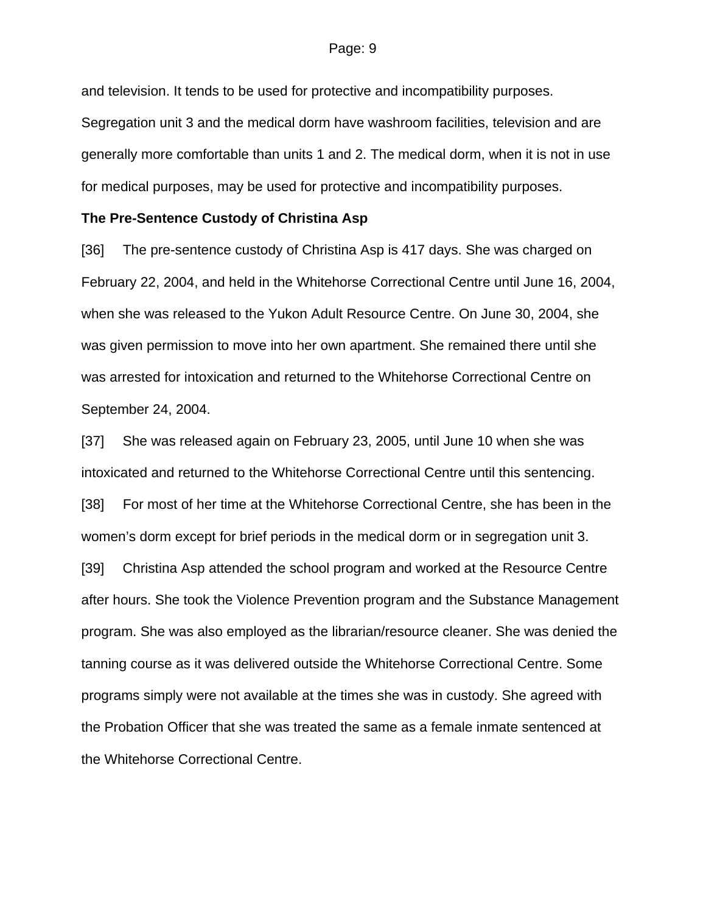and television. It tends to be used for protective and incompatibility purposes. Segregation unit 3 and the medical dorm have washroom facilities, television and are generally more comfortable than units 1 and 2. The medical dorm, when it is not in use for medical purposes, may be used for protective and incompatibility purposes.

### **The Pre-Sentence Custody of Christina Asp**

[36] The pre-sentence custody of Christina Asp is 417 days. She was charged on February 22, 2004, and held in the Whitehorse Correctional Centre until June 16, 2004, when she was released to the Yukon Adult Resource Centre. On June 30, 2004, she was given permission to move into her own apartment. She remained there until she was arrested for intoxication and returned to the Whitehorse Correctional Centre on September 24, 2004.

[37] She was released again on February 23, 2005, until June 10 when she was intoxicated and returned to the Whitehorse Correctional Centre until this sentencing. [38] For most of her time at the Whitehorse Correctional Centre, she has been in the women's dorm except for brief periods in the medical dorm or in segregation unit 3. [39] Christina Asp attended the school program and worked at the Resource Centre after hours. She took the Violence Prevention program and the Substance Management program. She was also employed as the librarian/resource cleaner. She was denied the tanning course as it was delivered outside the Whitehorse Correctional Centre. Some programs simply were not available at the times she was in custody. She agreed with the Probation Officer that she was treated the same as a female inmate sentenced at the Whitehorse Correctional Centre.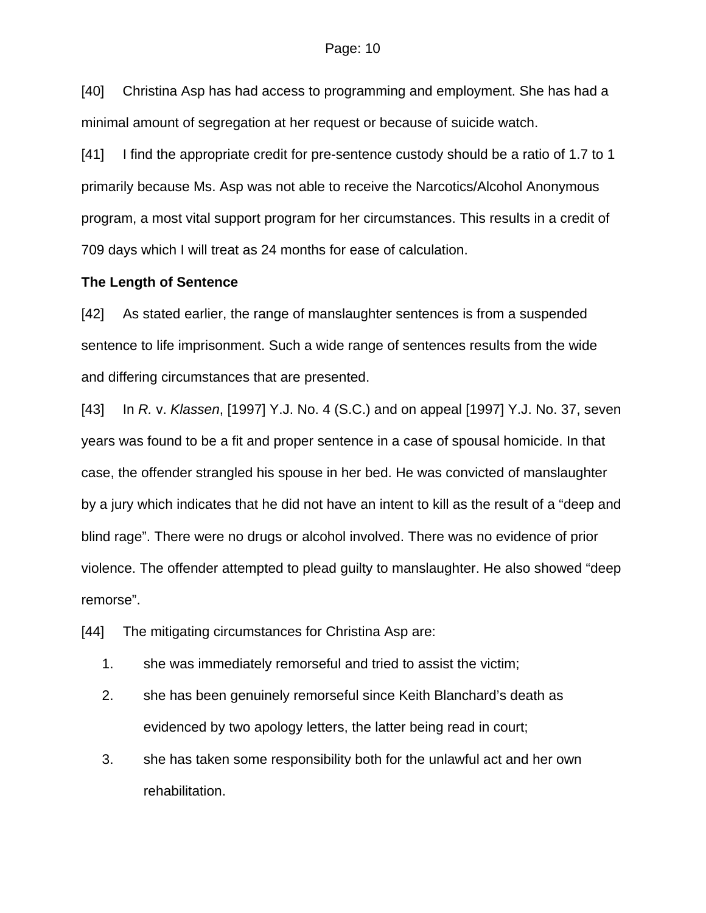[40] Christina Asp has had access to programming and employment. She has had a minimal amount of segregation at her request or because of suicide watch.

[41] I find the appropriate credit for pre-sentence custody should be a ratio of 1.7 to 1 primarily because Ms. Asp was not able to receive the Narcotics/Alcohol Anonymous program, a most vital support program for her circumstances. This results in a credit of 709 days which I will treat as 24 months for ease of calculation.

### **The Length of Sentence**

[42] As stated earlier, the range of manslaughter sentences is from a suspended sentence to life imprisonment. Such a wide range of sentences results from the wide and differing circumstances that are presented.

[43] In *R.* v. *Klassen*, [1997] Y.J. No. 4 (S.C.) and on appeal [1997] Y.J. No. 37, seven years was found to be a fit and proper sentence in a case of spousal homicide. In that case, the offender strangled his spouse in her bed. He was convicted of manslaughter by a jury which indicates that he did not have an intent to kill as the result of a "deep and blind rage". There were no drugs or alcohol involved. There was no evidence of prior violence. The offender attempted to plead guilty to manslaughter. He also showed "deep remorse".

[44] The mitigating circumstances for Christina Asp are:

- 1. she was immediately remorseful and tried to assist the victim;
- 2. she has been genuinely remorseful since Keith Blanchard's death as evidenced by two apology letters, the latter being read in court;
- 3. she has taken some responsibility both for the unlawful act and her own rehabilitation.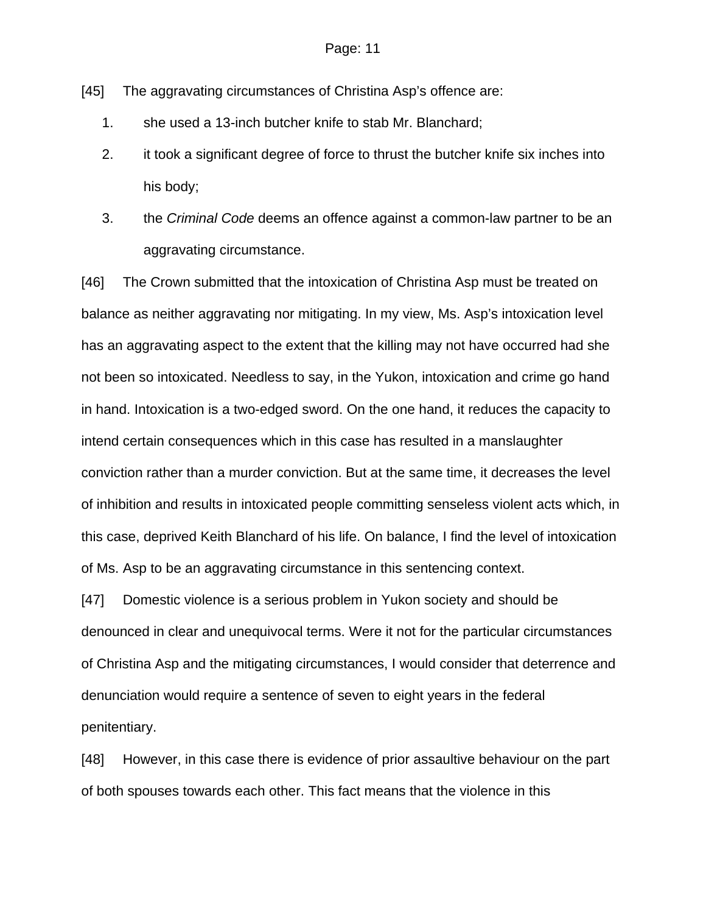[45] The aggravating circumstances of Christina Asp's offence are:

- 1. she used a 13-inch butcher knife to stab Mr. Blanchard;
- 2. it took a significant degree of force to thrust the butcher knife six inches into his body;
- 3. the *Criminal Code* deems an offence against a common-law partner to be an aggravating circumstance.

[46] The Crown submitted that the intoxication of Christina Asp must be treated on balance as neither aggravating nor mitigating. In my view, Ms. Asp's intoxication level has an aggravating aspect to the extent that the killing may not have occurred had she not been so intoxicated. Needless to say, in the Yukon, intoxication and crime go hand in hand. Intoxication is a two-edged sword. On the one hand, it reduces the capacity to intend certain consequences which in this case has resulted in a manslaughter conviction rather than a murder conviction. But at the same time, it decreases the level of inhibition and results in intoxicated people committing senseless violent acts which, in this case, deprived Keith Blanchard of his life. On balance, I find the level of intoxication of Ms. Asp to be an aggravating circumstance in this sentencing context.

[47] Domestic violence is a serious problem in Yukon society and should be denounced in clear and unequivocal terms. Were it not for the particular circumstances of Christina Asp and the mitigating circumstances, I would consider that deterrence and denunciation would require a sentence of seven to eight years in the federal penitentiary.

[48] However, in this case there is evidence of prior assaultive behaviour on the part of both spouses towards each other. This fact means that the violence in this